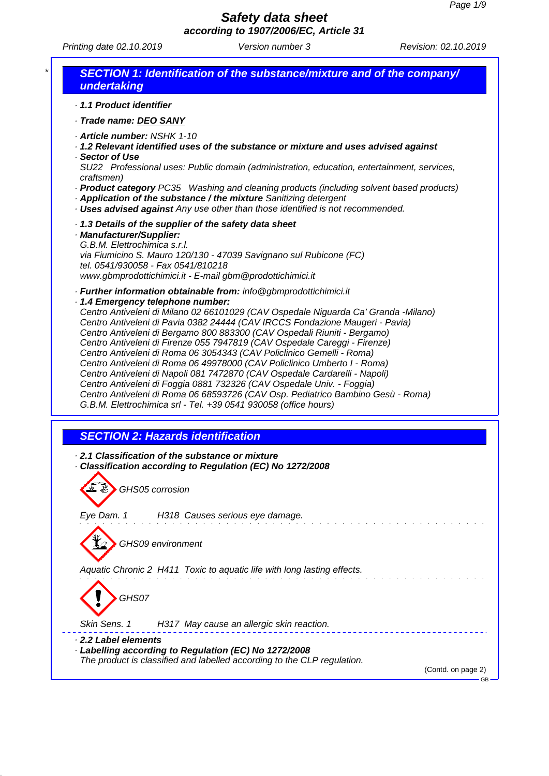*Printing date 02.10.2019 Version number 3 Revision: 02.10.2019*

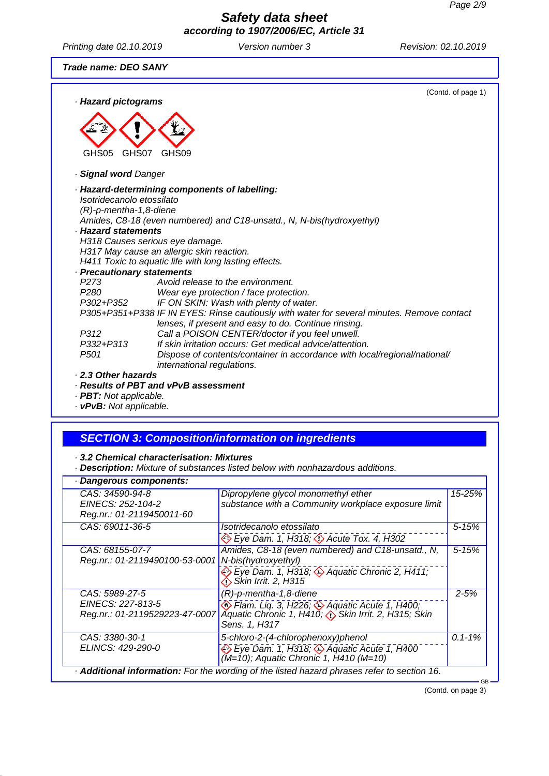*Printing date 02.10.2019 Version number 3 Revision: 02.10.2019*

#### *Trade name: DEO SANY*

| · Hazard pictograms                                                                                                                                              |                                                                                                                                                                                                                                                                                                                                                                                                                                                                                        | (Contd. of page 1) |
|------------------------------------------------------------------------------------------------------------------------------------------------------------------|----------------------------------------------------------------------------------------------------------------------------------------------------------------------------------------------------------------------------------------------------------------------------------------------------------------------------------------------------------------------------------------------------------------------------------------------------------------------------------------|--------------------|
| GHS07<br>GHS05                                                                                                                                                   | GHS09                                                                                                                                                                                                                                                                                                                                                                                                                                                                                  |                    |
| · Signal word Danger                                                                                                                                             |                                                                                                                                                                                                                                                                                                                                                                                                                                                                                        |                    |
| Isotridecanolo etossilato<br>$(R)$ -p-mentha-1,8-diene<br>· Hazard statements<br>· Precautionary statements<br>P <sub>273</sub><br>P <sub>280</sub><br>P302+P352 | · Hazard-determining components of labelling:<br>Amides, C8-18 (even numbered) and C18-unsatd., N, N-bis(hydroxyethyl)<br>H318 Causes serious eye damage.<br>H317 May cause an allergic skin reaction.<br>H411 Toxic to aquatic life with long lasting effects.<br>Avoid release to the environment.<br>Wear eye protection / face protection.<br>IF ON SKIN: Wash with plenty of water.<br>P305+P351+P338 IF IN EYES: Rinse cautiously with water for several minutes. Remove contact |                    |
|                                                                                                                                                                  | lenses, if present and easy to do. Continue rinsing.                                                                                                                                                                                                                                                                                                                                                                                                                                   |                    |
| P312<br>P332+P313<br>P <sub>501</sub>                                                                                                                            | Call a POISON CENTER/doctor if you feel unwell.<br>If skin irritation occurs: Get medical advice/attention.<br>Dispose of contents/container in accordance with local/regional/national/<br>international regulations.                                                                                                                                                                                                                                                                 |                    |
| 2.3 Other hazards                                                                                                                                                |                                                                                                                                                                                                                                                                                                                                                                                                                                                                                        |                    |

#### *· Results of PBT and vPvB assessment*

*· PBT: Not applicable.*

*· vPvB: Not applicable.*

# *SECTION 3: Composition/information on ingredients*

*· 3.2 Chemical characterisation: Mixtures*

*· Description: Mixture of substances listed below with nonhazardous additions.*

| · Dangerous components:                                               |                                                                                                                                                           |             |
|-----------------------------------------------------------------------|-----------------------------------------------------------------------------------------------------------------------------------------------------------|-------------|
| CAS: 34590-94-8<br>EINECS: 252-104-2<br>Reg.nr.: 01-2119450011-60     | Dipropylene glycol monomethyl ether<br>substance with a Community workplace exposure limit                                                                | 15-25%      |
| CAS: 69011-36-5                                                       | Isotridecanolo etossilato<br>Eye Dam. 1, H318; <>>> Acute Tox. 4, H302                                                                                    | $5 - 15%$   |
| CAS: 68155-07-7<br>Reg.nr.: 01-2119490100-53-0001                     | Amides, C8-18 (even numbered) and C18-unsatd., N,<br>N-bis(hydroxyethyl)<br>Eye Dam. 1, H318; $\Diamond$ Aquatic Chronic 2, H411;<br>Skin Irrit. 2, H315  | $5 - 15%$   |
| CAS: 5989-27-5<br>EINECS: 227-813-5<br>Reg.nr.: 01-2119529223-47-0007 | $(R)$ -p-mentha-1,8-diene<br>Flam. Liq. 3, H226; Aquatic Acute 1, H400;<br>Aquatic Chronic 1, H410; $\diamond$ Skin Irrit. 2, H315; Skin<br>Sens. 1, H317 | $2 - 5%$    |
| CAS: 3380-30-1<br>ELINCS: 429-290-0                                   | 5-chloro-2-(4-chlorophenoxy)phenol<br>Eye Dam. 1, H318; 4 Aquatic Acute 1, H400<br>(M=10); Aquatic Chronic 1, H410 (M=10)                                 | $0.1 - 1\%$ |
|                                                                       | Additional information: For the wording of the listed hazard phrases refer to section 16.                                                                 |             |

(Contd. on page 3)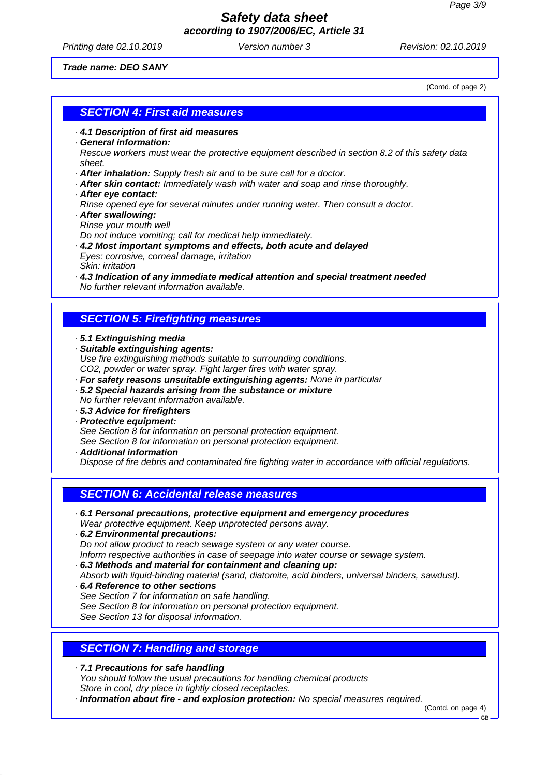*Printing date 02.10.2019 Version number 3 Revision: 02.10.2019*

(Contd. of page 2)

#### *Trade name: DEO SANY*

*SECTION 4: First aid measures*

- *· 4.1 Description of first aid measures*
- *· General information:*

*Rescue workers must wear the protective equipment described in section 8.2 of this safety data sheet.*

- *· After inhalation: Supply fresh air and to be sure call for a doctor.*
- *· After skin contact: Immediately wash with water and soap and rinse thoroughly.*
- *· After eye contact: Rinse opened eye for several minutes under running water. Then consult a doctor.*
- *· After swallowing: Rinse your mouth well*

*Do not induce vomiting; call for medical help immediately.*

- *· 4.2 Most important symptoms and effects, both acute and delayed Eyes: corrosive, corneal damage, irritation Skin: irritation*
- *· 4.3 Indication of any immediate medical attention and special treatment needed No further relevant information available.*

### *SECTION 5: Firefighting measures*

- *· 5.1 Extinguishing media*
- *· Suitable extinguishing agents: Use fire extinguishing methods suitable to surrounding conditions. CO2, powder or water spray. Fight larger fires with water spray. · For safety reasons unsuitable extinguishing agents: None in particular*
- *· 5.2 Special hazards arising from the substance or mixture No further relevant information available.*
- *· 5.3 Advice for firefighters*
- *· Protective equipment: See Section 8 for information on personal protection equipment. See Section 8 for information on personal protection equipment.*
- *· Additional information*

*Dispose of fire debris and contaminated fire fighting water in accordance with official regulations.*

### *SECTION 6: Accidental release measures*

- *· 6.1 Personal precautions, protective equipment and emergency procedures Wear protective equipment. Keep unprotected persons away.*
- *· 6.2 Environmental precautions: Do not allow product to reach sewage system or any water course. Inform respective authorities in case of seepage into water course or sewage system.*
- *· 6.3 Methods and material for containment and cleaning up: Absorb with liquid-binding material (sand, diatomite, acid binders, universal binders, sawdust).*
- *· 6.4 Reference to other sections See Section 7 for information on safe handling. See Section 8 for information on personal protection equipment. See Section 13 for disposal information.*

## *SECTION 7: Handling and storage*

*· 7.1 Precautions for safe handling You should follow the usual precautions for handling chemical products Store in cool, dry place in tightly closed receptacles.*

*· Information about fire - and explosion protection: No special measures required.*

(Contd. on page 4)

GB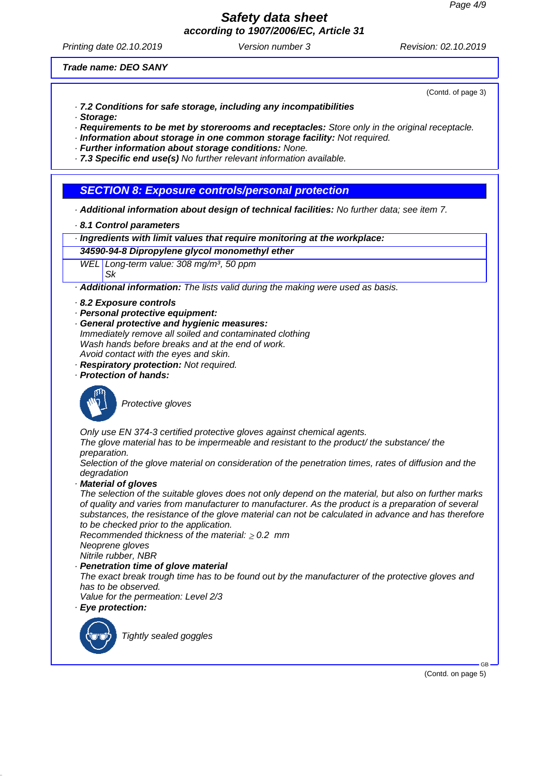# *Safety data sheet*

*according to 1907/2006/EC, Article 31*

*Printing date 02.10.2019 Version number 3 Revision: 02.10.2019*

#### *Trade name: DEO SANY*

(Contd. of page 3)

- *· 7.2 Conditions for safe storage, including any incompatibilities*
- *· Storage:*

*· Requirements to be met by storerooms and receptacles: Store only in the original receptacle.*

- *· Information about storage in one common storage facility: Not required.*
- *· Further information about storage conditions: None.*

*· 7.3 Specific end use(s) No further relevant information available.*

### *SECTION 8: Exposure controls/personal protection*

*· Additional information about design of technical facilities: No further data; see item 7.*

*· 8.1 Control parameters*

*· Ingredients with limit values that require monitoring at the workplace:*

#### *34590-94-8 Dipropylene glycol monomethyl ether*

*WEL Long-term value: 308 mg/m³, 50 ppm Sk*

*· Additional information: The lists valid during the making were used as basis.*

- *· 8.2 Exposure controls*
- *· Personal protective equipment:*
- *· General protective and hygienic measures: Immediately remove all soiled and contaminated clothing*
- *Wash hands before breaks and at the end of work. Avoid contact with the eyes and skin.*
- *· Respiratory protection: Not required.*
- *· Protection of hands:*



*Protective gloves*

*Only use EN 374-3 certified protective gloves against chemical agents.*

*The glove material has to be impermeable and resistant to the product/ the substance/ the preparation.*

*Selection of the glove material on consideration of the penetration times, rates of diffusion and the degradation*

*· Material of gloves*

*The selection of the suitable gloves does not only depend on the material, but also on further marks of quality and varies from manufacturer to manufacturer. As the product is a preparation of several substances, the resistance of the glove material can not be calculated in advance and has therefore to be checked prior to the application.*

*Recommended thickness of the material: 0.2 mm Neoprene gloves*

*Nitrile rubber, NBR*

*· Penetration time of glove material*

*The exact break trough time has to be found out by the manufacturer of the protective gloves and has to be observed.*

*Value for the permeation: Level 2/3*

*· Eye protection:*



*Tightly sealed goggles*

(Contd. on page 5)

GB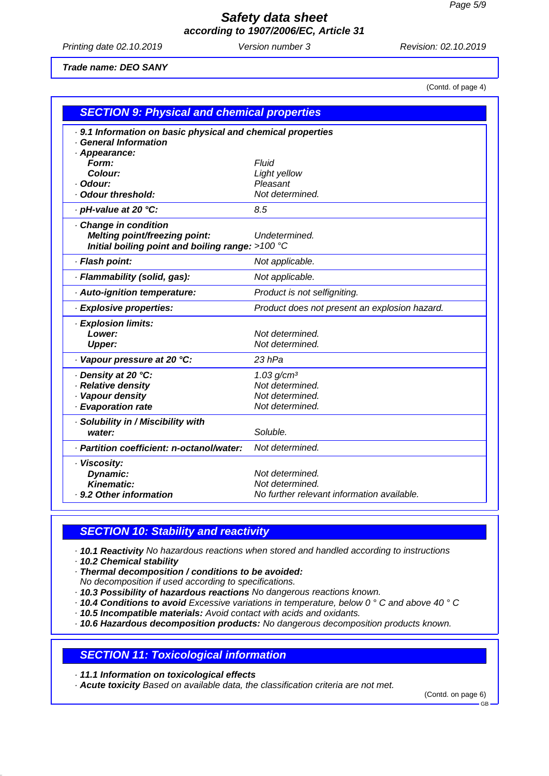*Printing date 02.10.2019 Version number 3 Revision: 02.10.2019*

#### *Trade name: DEO SANY*

(Contd. of page 4)

| <b>SECTION 9: Physical and chemical properties</b>          |                                               |  |
|-------------------------------------------------------------|-----------------------------------------------|--|
| . 9.1 Information on basic physical and chemical properties |                                               |  |
| · General Information                                       |                                               |  |
| · Appearance:<br>Form:                                      | Fluid                                         |  |
| Colour:                                                     | Light yellow                                  |  |
| Odour:                                                      | Pleasant                                      |  |
| · Odour threshold:                                          | Not determined.                               |  |
| · pH-value at 20 °C:                                        | 8.5                                           |  |
| Change in condition                                         |                                               |  |
| Melting point/freezing point:                               | Undetermined.                                 |  |
| Initial boiling point and boiling range: $>100$ °C          |                                               |  |
| · Flash point:                                              | Not applicable.                               |  |
| · Flammability (solid, gas):                                | Not applicable.                               |  |
| · Auto-ignition temperature:                                | Product is not selfigniting.                  |  |
| · Explosive properties:                                     | Product does not present an explosion hazard. |  |
| · Explosion limits:                                         |                                               |  |
| Lower:                                                      | Not determined.                               |  |
| <b>Upper:</b>                                               | Not determined.                               |  |
| · Vapour pressure at 20 °C:                                 | $23$ hPa                                      |  |
| · Density at 20 °C:                                         | 1.03 g/cm <sup>3</sup>                        |  |
| · Relative density                                          | Not determined.                               |  |
| · Vapour density                                            | Not determined.                               |  |
| · Evaporation rate                                          | Not determined.                               |  |
| · Solubility in / Miscibility with                          |                                               |  |
| water:                                                      | Soluble.                                      |  |
| · Partition coefficient: n-octanol/water:                   | Not determined.                               |  |
| · Viscosity:                                                |                                               |  |
| Dynamic:                                                    | Not determined.                               |  |
| Kinematic:                                                  | Not determined.                               |  |
| · 9.2 Other information                                     | No further relevant information available.    |  |

### *SECTION 10: Stability and reactivity*

*· 10.1 Reactivity No hazardous reactions when stored and handled according to instructions*

*· 10.2 Chemical stability*

*· Thermal decomposition / conditions to be avoided:*

*No decomposition if used according to specifications.*

*· 10.3 Possibility of hazardous reactions No dangerous reactions known.*

*· 10.4 Conditions to avoid Excessive variations in temperature, below 0 ° C and above 40 ° C*

*· 10.5 Incompatible materials: Avoid contact with acids and oxidants.*

*· 10.6 Hazardous decomposition products: No dangerous decomposition products known.*

#### *SECTION 11: Toxicological information*

*· 11.1 Information on toxicological effects*

*· Acute toxicity Based on available data, the classification criteria are not met.*

(Contd. on page 6)

GB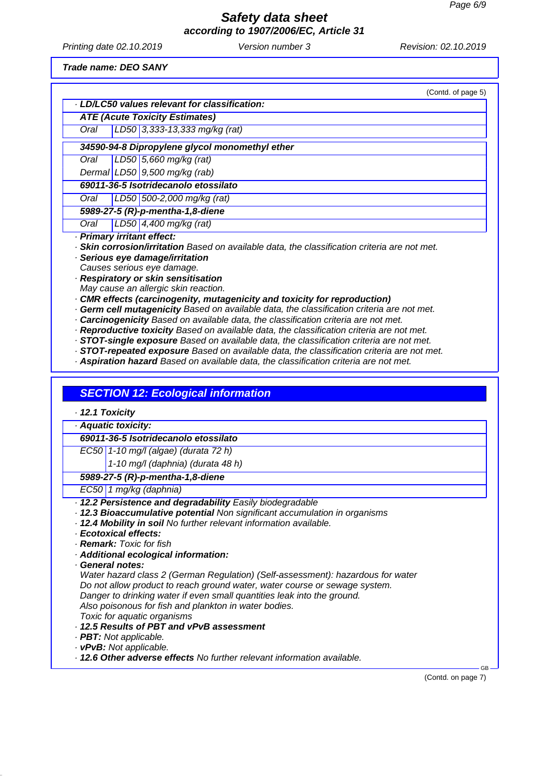*Printing date 02.10.2019 Version number 3 Revision: 02.10.2019*

*Trade name: DEO SANY*

|                 | · LD/LC50 values relevant for classification:                                                      |
|-----------------|----------------------------------------------------------------------------------------------------|
|                 | <b>ATE (Acute Toxicity Estimates)</b>                                                              |
| Oral            | LD50 3,333-13,333 mg/kg (rat)                                                                      |
|                 | 34590-94-8 Dipropylene glycol monomethyl ether                                                     |
| Oral            | LD50 5,660 mg/kg (rat)                                                                             |
|                 | Dermal LD50 $9,500$ mg/kg (rab)                                                                    |
|                 | 69011-36-5 Isotridecanolo etossilato                                                               |
| Oral            | LD50 500-2,000 mg/kg (rat)                                                                         |
|                 | 5989-27-5 (R)-p-mentha-1,8-diene                                                                   |
| Oral            | LD50 $4,400$ mg/kg (rat)                                                                           |
|                 | · Primary irritant effect:                                                                         |
|                 | · Skin corrosion/irritation Based on available data, the classification criteria are not met.      |
|                 | · Serious eye damage/irritation                                                                    |
|                 | Causes serious eye damage.                                                                         |
|                 | · Respiratory or skin sensitisation                                                                |
|                 | May cause an allergic skin reaction.                                                               |
|                 | CMR effects (carcinogenity, mutagenicity and toxicity for reproduction)                            |
|                 | · Germ cell mutagenicity Based on available data, the classification criteria are not met.         |
|                 | · Carcinogenicity Based on available data, the classification criteria are not met.                |
|                 | · Reproductive toxicity Based on available data, the classification criteria are not met.          |
|                 | · STOT-single exposure Based on available data, the classification criteria are not met.           |
|                 | · STOT-repeated exposure Based on available data, the classification criteria are not met.         |
|                 | · Aspiration hazard Based on available data, the classification criteria are not met.              |
|                 | <b>SECTION 12: Ecological information</b>                                                          |
|                 |                                                                                                    |
|                 | · Aquatic toxicity:                                                                                |
|                 | 69011-36-5 Isotridecanolo etossilato                                                               |
|                 | EC50 1-10 mg/l (algae) (durata 72 h)                                                               |
|                 | 1-10 mg/l (daphnia) (durata 48 h)                                                                  |
|                 | 5989-27-5 (R)-p-mentha-1,8-diene                                                                   |
|                 | EC50 1 mg/kg (daphnia)                                                                             |
|                 | · 12.2 Persistence and degradability Easily biodegradable                                          |
|                 | · 12.3 Bioaccumulative potential Non significant accumulation in organisms                         |
|                 | · 12.4 Mobility in soil No further relevant information available.                                 |
|                 | · Ecotoxical effects:                                                                              |
|                 | · Remark: Toxic for fish                                                                           |
|                 | · Additional ecological information:                                                               |
|                 | General notes:                                                                                     |
|                 | Water hazard class 2 (German Regulation) (Self-assessment): hazardous for water                    |
|                 |                                                                                                    |
| · 12.1 Toxicity | Do not allow product to reach ground water, water course or sewage system.                         |
|                 | Danger to drinking water if even small quantities leak into the ground.                            |
|                 | Also poisonous for fish and plankton in water bodies.                                              |
|                 | Toxic for aquatic organisms                                                                        |
|                 | . 12.5 Results of PBT and vPvB assessment                                                          |
|                 | · <b>PBT:</b> Not applicable.                                                                      |
|                 | · vPvB: Not applicable.<br>· 12.6 Other adverse effects No further relevant information available. |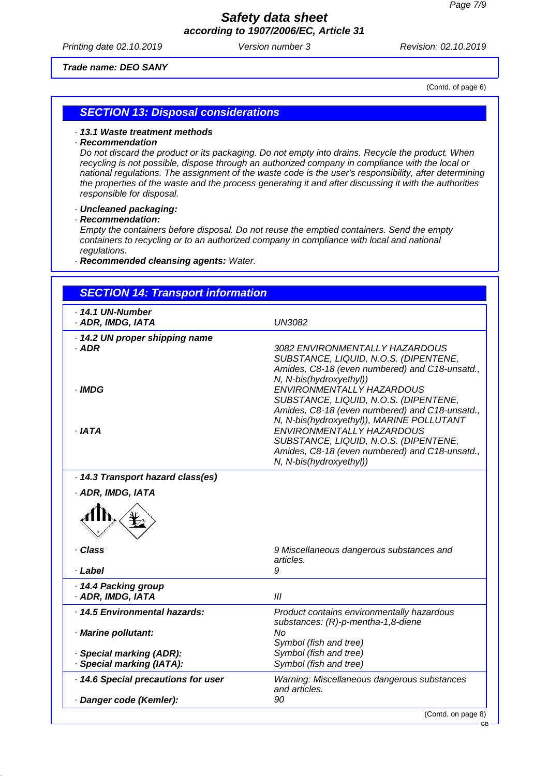*Printing date 02.10.2019 Version number 3 Revision: 02.10.2019*

#### *Trade name: DEO SANY*

(Contd. of page 6)

GB

#### *SECTION 13: Disposal considerations*

#### *· 13.1 Waste treatment methods*

#### *· Recommendation*

*Do not discard the product or its packaging. Do not empty into drains. Recycle the product. When recycling is not possible, dispose through an authorized company in compliance with the local or national regulations. The assignment of the waste code is the user's responsibility, after determining the properties of the waste and the process generating it and after discussing it with the authorities responsible for disposal.*

*· Uncleaned packaging:*

*· Recommendation:*

*Empty the containers before disposal. Do not reuse the emptied containers. Send the empty containers to recycling or to an authorized company in compliance with local and national regulations.*

*· Recommended cleansing agents: Water.*

| <b>SECTION 14: Transport information</b>                                                                                                                                          |                                                                                                                                                                                                |
|-----------------------------------------------------------------------------------------------------------------------------------------------------------------------------------|------------------------------------------------------------------------------------------------------------------------------------------------------------------------------------------------|
| · 14.1 UN-Number<br>· ADR, IMDG, IATA                                                                                                                                             | <b>UN3082</b>                                                                                                                                                                                  |
| · 14.2 UN proper shipping name<br>$·$ ADR                                                                                                                                         | <i>3082 ENVIRONMENTALLY HAZARDOUS</i><br>SUBSTANCE, LIQUID, N.O.S. (DIPENTENE,<br>Amides, C8-18 (even numbered) and C18-unsatd.,<br>N, N-bis(hydroxyethyl))                                    |
| · IMDG<br>· IATA                                                                                                                                                                  | ENVIRONMENTALLY HAZARDOUS<br>SUBSTANCE, LIQUID, N.O.S. (DIPENTENE,<br>Amides, C8-18 (even numbered) and C18-unsatd.,<br>N, N-bis(hydroxyethyl)), MARINE POLLUTANT<br>ENVIRONMENTALLY HAZARDOUS |
|                                                                                                                                                                                   | SUBSTANCE, LIQUID, N.O.S. (DIPENTENE,<br>Amides, C8-18 (even numbered) and C18-unsatd.,<br>N, N-bis(hydroxyethyl))                                                                             |
|                                                                                                                                                                                   |                                                                                                                                                                                                |
|                                                                                                                                                                                   | 9 Miscellaneous dangerous substances and                                                                                                                                                       |
|                                                                                                                                                                                   | articles.<br>9                                                                                                                                                                                 |
|                                                                                                                                                                                   | III                                                                                                                                                                                            |
|                                                                                                                                                                                   | Product contains environmentally hazardous<br>substances: (R)-p-mentha-1,8-diene                                                                                                               |
| · 14.3 Transport hazard class(es)<br>· ADR, IMDG, IATA<br>· Class<br>· Label<br>· 14.4 Packing group<br>· ADR, IMDG, IATA<br>· 14.5 Environmental hazards:<br>· Marine pollutant: | No<br>Symbol (fish and tree)                                                                                                                                                                   |
| · Special marking (ADR):<br>· Special marking (IATA):                                                                                                                             | Symbol (fish and tree)<br>Symbol (fish and tree)                                                                                                                                               |
| · 14.6 Special precautions for user                                                                                                                                               | Warning: Miscellaneous dangerous substances<br>and articles.                                                                                                                                   |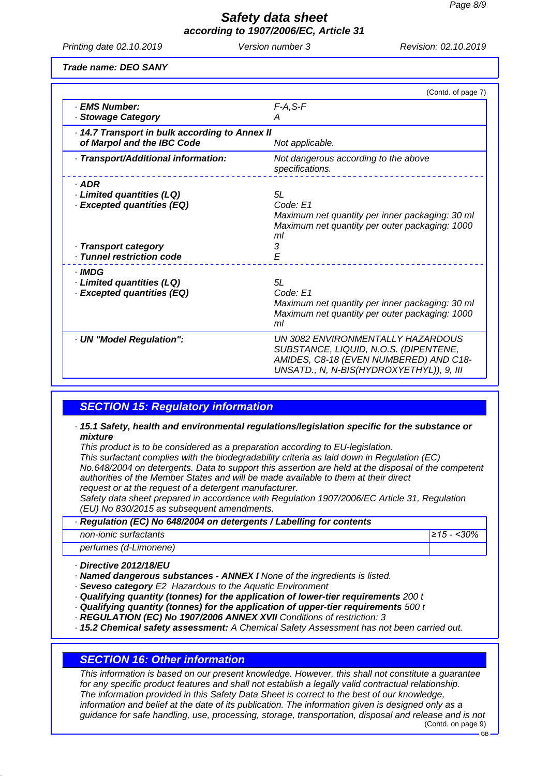*Printing date 02.10.2019 Version number 3 Revision: 02.10.2019*

*Trade name: DEO SANY*

|                                                                                            | (Contd. of page 7)                                                                                                                                               |
|--------------------------------------------------------------------------------------------|------------------------------------------------------------------------------------------------------------------------------------------------------------------|
| · EMS Number:<br>· Stowage Category                                                        | $F-A, S-F$<br>А                                                                                                                                                  |
| · 14.7 Transport in bulk according to Annex II<br>of Marpol and the IBC Code               | Not applicable.                                                                                                                                                  |
| · Transport/Additional information:                                                        | Not dangerous according to the above<br>specifications.                                                                                                          |
| $.$ ADR<br>· Limited quantities (LQ)<br>· Excepted quantities (EQ)<br>· Transport category | 5L<br>Code: E1<br>Maximum net quantity per inner packaging: 30 ml<br>Maximum net quantity per outer packaging: 1000<br>ml<br>3                                   |
| · Tunnel restriction code                                                                  | E                                                                                                                                                                |
| · IMDG<br>· Limited quantities (LQ)<br><b>Excepted quantities (EQ)</b>                     | 5L<br>Code: E1<br>Maximum net quantity per inner packaging: 30 ml<br>Maximum net quantity per outer packaging: 1000<br>ml                                        |
| · UN "Model Regulation":                                                                   | UN 3082 ENVIRONMENTALLY HAZARDOUS<br>SUBSTANCE, LIQUID, N.O.S. (DIPENTENE,<br>AMIDES, C8-18 (EVEN NUMBERED) AND C18-<br>UNSATD., N, N-BIS(HYDROXYETHYL)), 9, III |

### *SECTION 15: Regulatory information*

#### *· 15.1 Safety, health and environmental regulations/legislation specific for the substance or mixture*

*This product is to be considered as a preparation according to EU-legislation.*

*This surfactant complies with the biodegradability criteria as laid down in Regulation (EC) No.648/2004 on detergents. Data to support this assertion are held at the disposal of the competent authorities of the Member States and will be made available to them at their direct request or at the request of a detergent manufacturer.*

*Safety data sheet prepared in accordance with Regulation 1907/2006/EC Article 31, Regulation (EU) No 830/2015 as subsequent amendments.*

| Regulation (EC) No 648/2004 on detergents / Labelling for contents |                |
|--------------------------------------------------------------------|----------------|
| non-ionic surfactants                                              | $ 215 - 30\% $ |
| perfumes (d-Limonene)                                              |                |

*· Directive 2012/18/EU*

*· Named dangerous substances - ANNEX I None of the ingredients is listed.*

- *· Seveso category E2 Hazardous to the Aquatic Environment*
- *· Qualifying quantity (tonnes) for the application of lower-tier requirements 200 t*
- *· Qualifying quantity (tonnes) for the application of upper-tier requirements 500 t*
- *· REGULATION (EC) No 1907/2006 ANNEX XVII Conditions of restriction: 3*

*· 15.2 Chemical safety assessment: A Chemical Safety Assessment has not been carried out.*

#### *SECTION 16: Other information*

*This information is based on our present knowledge. However, this shall not constitute a guarantee for any specific product features and shall not establish a legally valid contractual relationship. The information provided in this Safety Data Sheet is correct to the best of our knowledge, information and belief at the date of its publication. The information given is designed only as a guidance for safe handling, use, processing, storage, transportation, disposal and release and is not* (Contd. on page 9)

GB